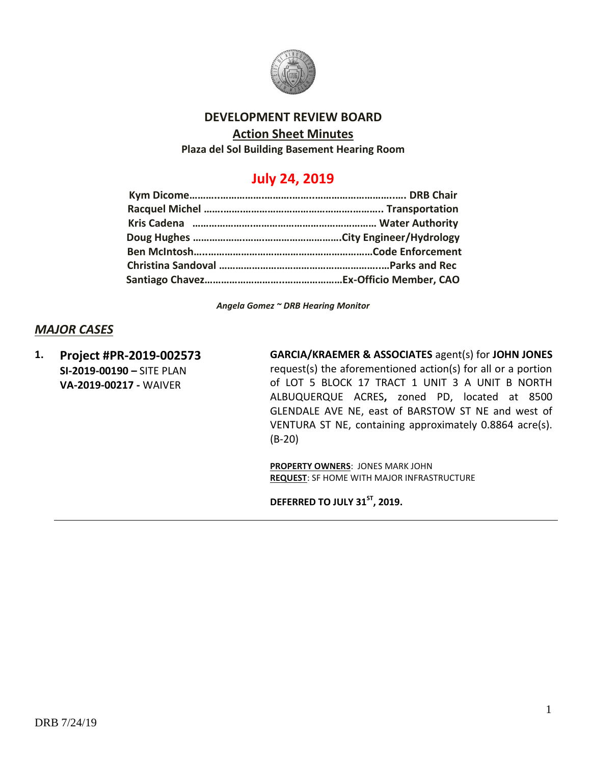

# **DEVELOPMENT REVIEW BOARD**

#### **Action Sheet Minutes**

**Plaza del Sol Building Basement Hearing Room**

# **July 24, 2019**

*Angela Gomez ~ DRB Hearing Monitor*

### *MAJOR CASES*

**1. Project #PR-2019-002573 SI-2019-00190 –** SITE PLAN **VA-2019-00217 -** WAIVER

**GARCIA/KRAEMER & ASSOCIATES** agent(s) for **JOHN JONES** request(s) the aforementioned action(s) for all or a portion of LOT 5 BLOCK 17 TRACT 1 UNIT 3 A UNIT B NORTH ALBUQUERQUE ACRES**,** zoned PD, located at 8500 GLENDALE AVE NE, east of BARSTOW ST NE and west of VENTURA ST NE, containing approximately 0.8864 acre(s). (B-20)

**PROPERTY OWNERS**: JONES MARK JOHN **REQUEST**: SF HOME WITH MAJOR INFRASTRUCTURE

**DEFERRED TO JULY 31 ST, 2019.**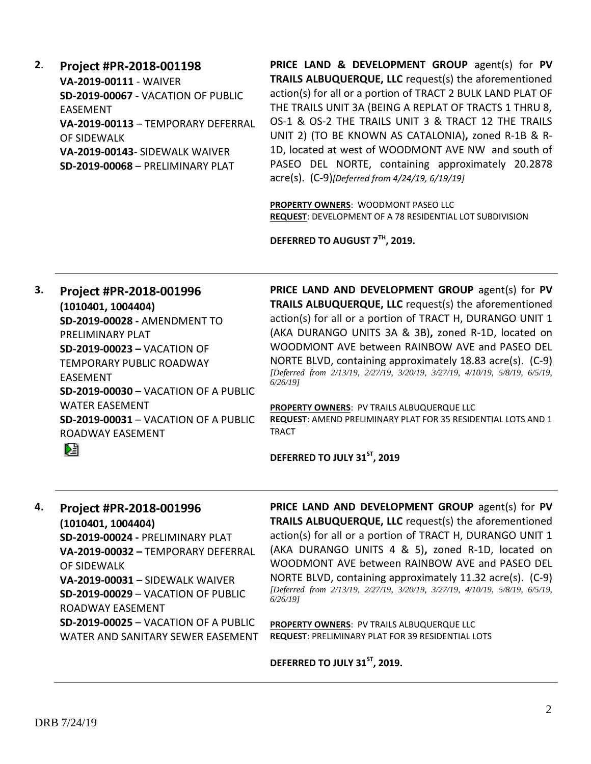**2**. **Project #PR-2018-001198 VA-2019-00111** - WAIVER **SD-2019-00067** - VACATION OF PUBLIC EASEMENT **VA-2019-00113** – TEMPORARY DEFERRAL OF SIDEWALK **VA-2019-00143**- SIDEWALK WAIVER **SD-2019-00068** – PRELIMINARY PLAT

**PRICE LAND & DEVELOPMENT GROUP** agent(s) for **PV TRAILS ALBUQUERQUE, LLC** request(s) the aforementioned action(s) for all or a portion of TRACT 2 BULK LAND PLAT OF THE TRAILS UNIT 3A (BEING A REPLAT OF TRACTS 1 THRU 8, OS-1 & OS-2 THE TRAILS UNIT 3 & TRACT 12 THE TRAILS UNIT 2) (TO BE KNOWN AS CATALONIA)**,** zoned R-1B & R-1D, located at west of WOODMONT AVE NW and south of PASEO DEL NORTE, containing approximately 20.2878 acre(s). (C-9)*[Deferred from 4/24/19, 6/19/19]*

**PROPERTY OWNERS**: WOODMONT PASEO LLC **REQUEST**: DEVELOPMENT OF A 78 RESIDENTIAL LOT SUBDIVISION

**DEFERRED TO AUGUST 7TH, 2019.**

**3. Project #PR-2018-001996 (1010401, 1004404) SD-2019-00028 -** AMENDMENT TO PRELIMINARY PLAT **SD-2019-00023 –** VACATION OF TEMPORARY PUBLIC ROADWAY EASEMENT **SD-2019-00030** – VACATION OF A PUBLIC WATER EASEMENT **SD-2019-00031** – VACATION OF A PUBLIC ROADWAY EASEMENT Dà

**PRICE LAND AND DEVELOPMENT GROUP** agent(s) for **PV TRAILS ALBUQUERQUE, LLC** request(s) the aforementioned action(s) for all or a portion of TRACT H, DURANGO UNIT 1 (AKA DURANGO UNITS 3A & 3B)**,** zoned R-1D, located on WOODMONT AVE between RAINBOW AVE and PASEO DEL NORTE BLVD, containing approximately 18.83 acre(s). (C-9) *[Deferred from 2/13/19, 2/27/19, 3/20/19, 3/27/19, 4/10/19, 5/8/19, 6/5/19, 6/26/19]*

**PROPERTY OWNERS**: PV TRAILS ALBUQUERQUE LLC **REQUEST**: AMEND PRELIMINARY PLAT FOR 35 RESIDENTIAL LOTS AND 1 TRACT

**DEFERRED TO JULY 31ST, 2019**

#### **4. Project #PR-2018-001996**

**(1010401, 1004404) SD-2019-00024 -** PRELIMINARY PLAT **VA-2019-00032 –** TEMPORARY DEFERRAL OF SIDEWALK **VA-2019-00031** – SIDEWALK WAIVER **SD-2019-00029** – VACATION OF PUBLIC ROADWAY EASEMENT **SD-2019-00025** – VACATION OF A PUBLIC WATER AND SANITARY SEWER EASEMENT **PRICE LAND AND DEVELOPMENT GROUP** agent(s) for **PV TRAILS ALBUQUERQUE, LLC** request(s) the aforementioned action(s) for all or a portion of TRACT H, DURANGO UNIT 1 (AKA DURANGO UNITS 4 & 5)**,** zoned R-1D, located on WOODMONT AVE between RAINBOW AVE and PASEO DEL NORTE BLVD, containing approximately 11.32 acre(s). (C-9) *[Deferred from 2/13/19, 2/27/19, 3/20/19, 3/27/19, 4/10/19, 5/8/19, 6/5/19, 6/26/19]*

**PROPERTY OWNERS**: PV TRAILS ALBUQUERQUE LLC **REQUEST**: PRELIMINARY PLAT FOR 39 RESIDENTIAL LOTS

**DEFERRED TO JULY 31ST, 2019.**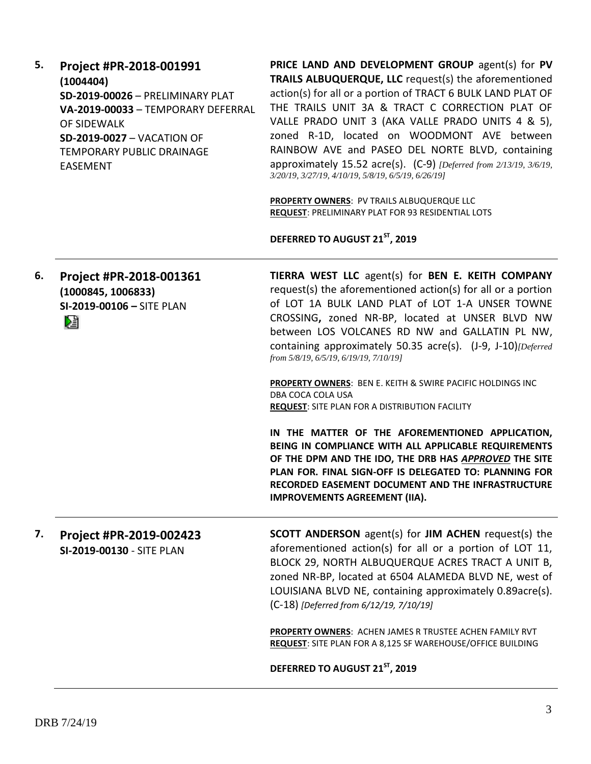**5. Project #PR-2018-001991 (1004404) SD-2019-00026** – PRELIMINARY PLAT **VA-2019-00033** – TEMPORARY DEFERRAL OF SIDEWALK **SD-2019-0027** – VACATION OF TEMPORARY PUBLIC DRAINAGE EASEMENT

**PRICE LAND AND DEVELOPMENT GROUP** agent(s) for **PV TRAILS ALBUQUERQUE, LLC** request(s) the aforementioned action(s) for all or a portion of TRACT 6 BULK LAND PLAT OF THE TRAILS UNIT 3A & TRACT C CORRECTION PLAT OF VALLE PRADO UNIT 3 (AKA VALLE PRADO UNITS 4 & 5), zoned R-1D, located on WOODMONT AVE between RAINBOW AVE and PASEO DEL NORTE BLVD, containing approximately 15.52 acre(s). (C-9) *[Deferred from 2/13/19, 3/6/19, 3/20/19, 3/27/19, 4/10/19, 5/8/19, 6/5/19, 6/26/19]*

**PROPERTY OWNERS**: PV TRAILS ALBUQUERQUE LLC **REQUEST**: PRELIMINARY PLAT FOR 93 RESIDENTIAL LOTS

**DEFERRED TO AUGUST 21ST, 2019**

**6. Project #PR-2018-001361 TIERRA WEST LLC** agent(s) for **BEN E. KEITH COMPANY** request(s) the aforementioned action(s) for all or a portion **(1000845, 1006833)** of LOT 1A BULK LAND PLAT of LOT 1-A UNSER TOWNE **SI-2019-00106 –** SITE PLAN CROSSING**,** zoned NR-BP, located at UNSER BLVD NW Dà between LOS VOLCANES RD NW and GALLATIN PL NW, containing approximately 50.35 acre(s). (J-9, J-10)*[Deferred from 5/8/19, 6/5/19, 6/19/19, 7/10/19]* **PROPERTY OWNERS**: BEN E. KEITH & SWIRE PACIFIC HOLDINGS INC

DBA COCA COLA USA **REQUEST**: SITE PLAN FOR A DISTRIBUTION FACILITY

**IN THE MATTER OF THE AFOREMENTIONED APPLICATION, BEING IN COMPLIANCE WITH ALL APPLICABLE REQUIREMENTS OF THE DPM AND THE IDO, THE DRB HAS** *APPROVED* **THE SITE PLAN FOR. FINAL SIGN-OFF IS DELEGATED TO: PLANNING FOR RECORDED EASEMENT DOCUMENT AND THE INFRASTRUCTURE IMPROVEMENTS AGREEMENT (IIA).**

**7. Project #PR-2019-002423 SI-2019-00130** - SITE PLAN

**SCOTT ANDERSON** agent(s) for **JIM ACHEN** request(s) the aforementioned action(s) for all or a portion of LOT 11, BLOCK 29, NORTH ALBUQUERQUE ACRES TRACT A UNIT B, zoned NR-BP, located at 6504 ALAMEDA BLVD NE, west of LOUISIANA BLVD NE, containing approximately 0.89acre(s). (C-18) *[Deferred from 6/12/19, 7/10/19]*

**PROPERTY OWNERS**: ACHEN JAMES R TRUSTEE ACHEN FAMILY RVT **REQUEST**: SITE PLAN FOR A 8,125 SF WAREHOUSE/OFFICE BUILDING

**DEFERRED TO AUGUST 21ST, 2019**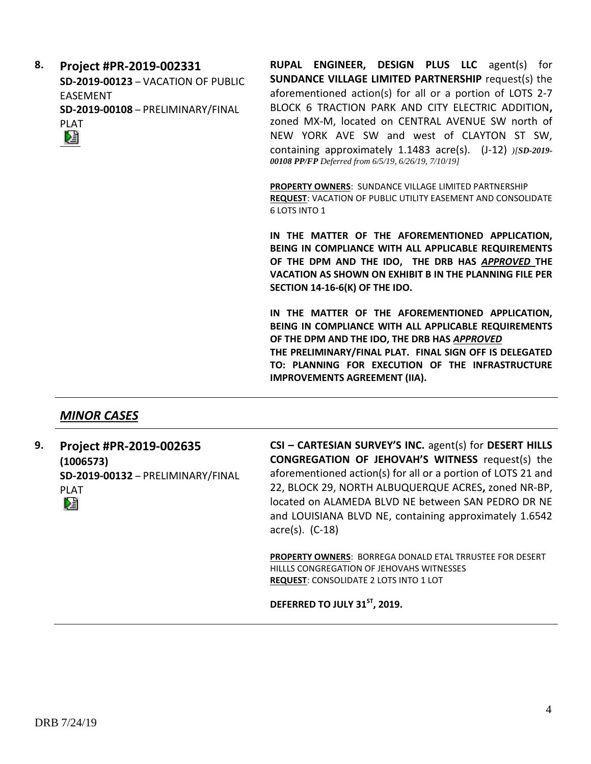**8. Project #PR-2019-002331 SD-2019-00123** – VACATION OF PUBLIC EASEMENT **SD-2019-00108** – PRELIMINARY/FINAL PLAT Dà

**RUPAL ENGINEER, DESIGN PLUS LLC** agent(s) for **SUNDANCE VILLAGE LIMITED PARTNERSHIP** request(s) the aforementioned action(s) for all or a portion of LOTS 2-7 BLOCK 6 TRACTION PARK AND CITY ELECTRIC ADDITION**,**  zoned MX-M, located on CENTRAL AVENUE SW north of NEW YORK AVE SW and west of CLAYTON ST SW, containing approximately 1.1483 acre(s). (J-12) *)[SD-2019- 00108 PP/FP Deferred from 6/5/19, 6/26/19, 7/10/19]*

**PROPERTY OWNERS**: SUNDANCE VILLAGE LIMITED PARTNERSHIP **REQUEST**: VACATION OF PUBLIC UTILITY EASEMENT AND CONSOLIDATE 6 LOTS INTO 1

**IN THE MATTER OF THE AFOREMENTIONED APPLICATION, BEING IN COMPLIANCE WITH ALL APPLICABLE REQUIREMENTS OF THE DPM AND THE IDO, THE DRB HAS** *APPROVED* **THE VACATION AS SHOWN ON EXHIBIT B IN THE PLANNING FILE PER SECTION 14-16-6(K) OF THE IDO.**

**IN THE MATTER OF THE AFOREMENTIONED APPLICATION, BEING IN COMPLIANCE WITH ALL APPLICABLE REQUIREMENTS OF THE DPM AND THE IDO, THE DRB HAS** *APPROVED* **THE PRELIMINARY/FINAL PLAT. FINAL SIGN OFF IS DELEGATED TO: PLANNING FOR EXECUTION OF THE INFRASTRUCTURE IMPROVEMENTS AGREEMENT (IIA).**

# *MINOR CASES*

**9. Project #PR-2019-002635 CSI – CARTESIAN SURVEY'S INC.** agent(s) for **DESERT HILLS CONGREGATION OF JEHOVAH'S WITNESS** request(s) the **(1006573)** aforementioned action(s) for all or a portion of LOTS 21 and **SD-2019-00132** – PRELIMINARY/FINAL 22, BLOCK 29, NORTH ALBUQUERQUE ACRES**,** zoned NR-BP, PLAT located on ALAMEDA BLVD NE between SAN PEDRO DR NE Dà and LOUISIANA BLVD NE, containing approximately 1.6542 acre(s). (C-18)

> **PROPERTY OWNERS**: BORREGA DONALD ETAL TRRUSTEE FOR DESERT HILLLS CONGREGATION OF JEHOVAHS WITNESSES **REQUEST**: CONSOLIDATE 2 LOTS INTO 1 LOT

**DEFERRED TO JULY 31ST, 2019.**